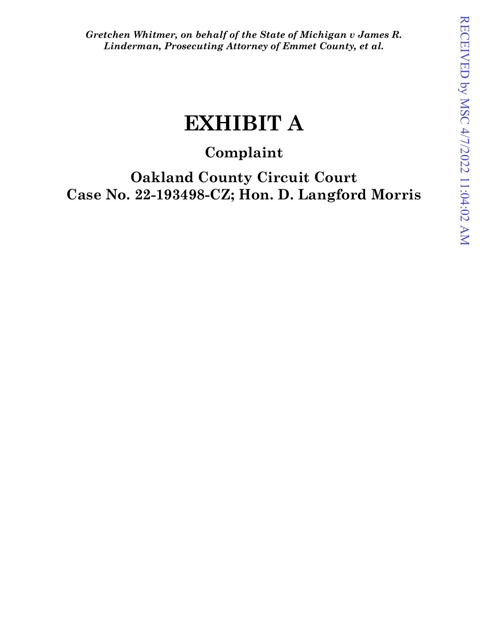*Gretchen Whitmer, on behalf of the State of Michigan v James R. Linderman, Prosecuting Attorney of Emmet County, et al.*

# **EXHIBIT A**

# **Complaint**

**Oakland County Circuit Court Case No. 22-193498-CZ; Hon. D. Langford Morris**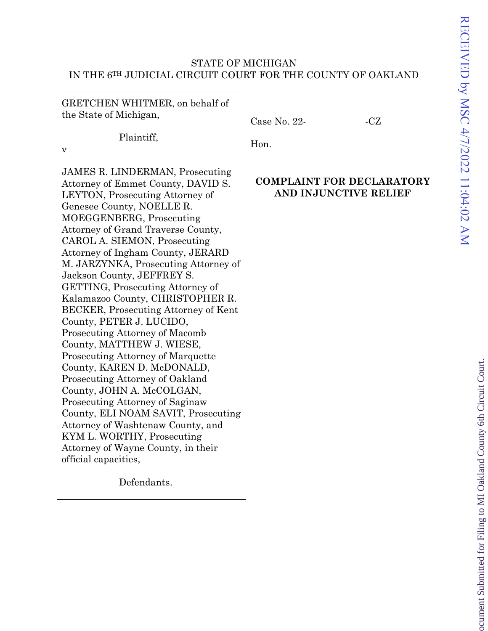## STATE OF MICHIGAN IN THE 6TH JUDICIAL CIRCUIT COURT FOR THE COUNTY OF OAKLAND

GRETCHEN WHITMER, on behalf of the State of Michigan,

 $Case No. 22-CCZ$ 

Plaintiff,

v

Hon.

JAMES R. LINDERMAN, Prosecuting Attorney of Emmet County, DAVID S. LEYTON, Prosecuting Attorney of Genesee County, NOELLE R. MOEGGENBERG, Prosecuting Attorney of Grand Traverse County, CAROL A. SIEMON, Prosecuting Attorney of Ingham County, JERARD M. JARZYNKA, Prosecuting Attorney of Jackson County, JEFFREY S. GETTING, Prosecuting Attorney of Kalamazoo County, CHRISTOPHER R. BECKER, Prosecuting Attorney of Kent County, PETER J. LUCIDO, Prosecuting Attorney of Macomb County, MATTHEW J. WIESE, Prosecuting Attorney of Marquette County, KAREN D. McDONALD, Prosecuting Attorney of Oakland County, JOHN A. McCOLGAN, Prosecuting Attorney of Saginaw County, ELI NOAM SAVIT, Prosecuting Attorney of Washtenaw County, and KYM L. WORTHY, Prosecuting Attorney of Wayne County, in their official capacities,

Defendants.

# **COMPLAINT FOR DECLARATORY AND INJUNCTIVE RELIEF**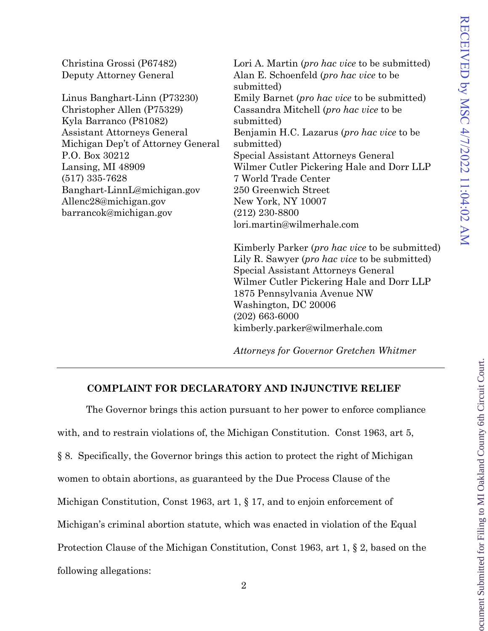ocument Submitted for Filing to MI Oakland County 6th Circuit Court.

| Christina Grossi (P67482)<br>Deputy Attorney General | Lori A. Martin ( <i>pro hac vice</i> to be submitted)<br>Alan E. Schoenfeld ( <i>pro hac vice</i> to be<br>submitted) |
|------------------------------------------------------|-----------------------------------------------------------------------------------------------------------------------|
| Linus Banghart-Linn (P73230)                         | Emily Barnet ( <i>pro hac vice</i> to be submitted)                                                                   |
| Christopher Allen (P75329)                           | Cassandra Mitchell (pro hac vice to be                                                                                |
| Kyla Barranco (P81082)                               | submitted)                                                                                                            |
| <b>Assistant Attorneys General</b>                   | Benjamin H.C. Lazarus (pro hac vice to be                                                                             |
| Michigan Dep't of Attorney General                   | submitted)                                                                                                            |
| P.O. Box 30212                                       | Special Assistant Attorneys General                                                                                   |
| Lansing, MI 48909                                    | Wilmer Cutler Pickering Hale and Dorr LLP                                                                             |
| $(517)$ 335-7628                                     | 7 World Trade Center                                                                                                  |
| Banghart-LinnL@michigan.gov                          | 250 Greenwich Street                                                                                                  |
| Allenc28@michigan.gov                                | New York, NY 10007                                                                                                    |
| barrancok@michigan.gov                               | $(212)$ 230-8800                                                                                                      |
|                                                      | lori.martin@wilmerhale.com                                                                                            |
|                                                      | Kimberly Parker ( <i>pro hac vice</i> to be submitted)                                                                |
|                                                      | Lily R. Sawyer ( <i>pro hac vice</i> to be submitted)                                                                 |
|                                                      | Special Assistant Attorneys General                                                                                   |
|                                                      | Wilmer Cutler Pickering Hale and Dorr LLP                                                                             |
|                                                      | 1875 Pennsylvania Avenue NW                                                                                           |
|                                                      | Washington, DC 20006                                                                                                  |
|                                                      | $(202)$ 663-6000                                                                                                      |
|                                                      | kimberly.parker@wilmerhale.com                                                                                        |

*Attorneys for Governor Gretchen Whitmer*

## **COMPLAINT FOR DECLARATORY AND INJUNCTIVE RELIEF**

The Governor brings this action pursuant to her power to enforce compliance with, and to restrain violations of, the Michigan Constitution. Const 1963, art 5, § 8. Specifically, the Governor brings this action to protect the right of Michigan women to obtain abortions, as guaranteed by the Due Process Clause of the Michigan Constitution, Const 1963, art 1, § 17, and to enjoin enforcement of Michigan's criminal abortion statute, which was enacted in violation of the Equal Protection Clause of the Michigan Constitution, Const 1963, art 1, § 2, based on the following allegations: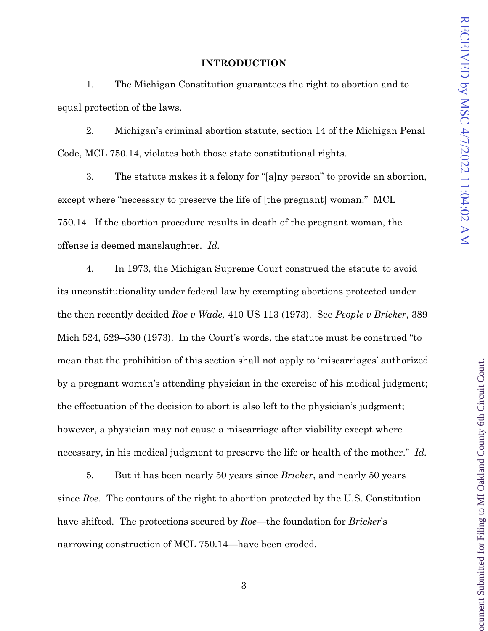ocument Submitted for Filing to MI Oakland County 6th Circuit Court

#### **INTRODUCTION**

1. The Michigan Constitution guarantees the right to abortion and to equal protection of the laws.

2. Michigan's criminal abortion statute, section 14 of the Michigan Penal Code, MCL 750.14, violates both those state constitutional rights.

3. The statute makes it a felony for "[a]ny person" to provide an abortion, except where "necessary to preserve the life of [the pregnant] woman." MCL 750.14. If the abortion procedure results in death of the pregnant woman, the offense is deemed manslaughter. *Id.* 

4. In 1973, the Michigan Supreme Court construed the statute to avoid its unconstitutionality under federal law by exempting abortions protected under the then recently decided *Roe v Wade,* 410 US 113 (1973). See *People v Bricker*, 389 Mich 524, 529–530 (1973). In the Court's words, the statute must be construed "to mean that the prohibition of this section shall not apply to 'miscarriages' authorized by a pregnant woman's attending physician in the exercise of his medical judgment; the effectuation of the decision to abort is also left to the physician's judgment; however, a physician may not cause a miscarriage after viability except where necessary, in his medical judgment to preserve the life or health of the mother." *Id.* 

5. But it has been nearly 50 years since *Bricker*, and nearly 50 years since *Roe*. The contours of the right to abortion protected by the U.S. Constitution have shifted. The protections secured by *Roe*—the foundation for *Bricker*'s narrowing construction of MCL 750.14—have been eroded.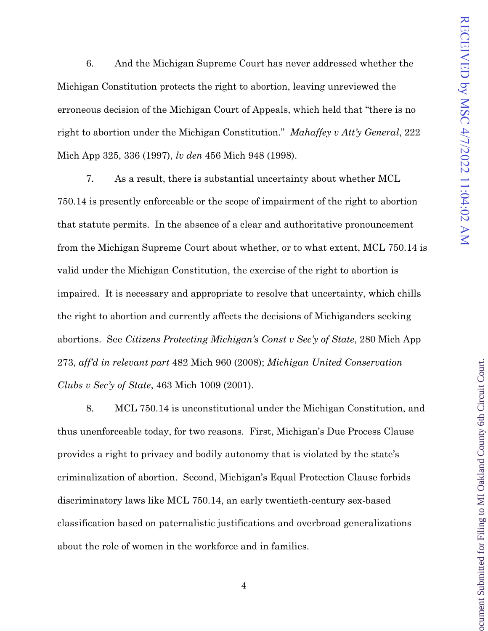ocument Submitted for Filing to MI Oakland County 6th Circuit Court

6. And the Michigan Supreme Court has never addressed whether the Michigan Constitution protects the right to abortion, leaving unreviewed the erroneous decision of the Michigan Court of Appeals, which held that "there is no right to abortion under the Michigan Constitution." *Mahaffey v Att'y General*, 222 Mich App 325, 336 (1997), *lv den* 456 Mich 948 (1998).

7. As a result, there is substantial uncertainty about whether MCL 750.14 is presently enforceable or the scope of impairment of the right to abortion that statute permits. In the absence of a clear and authoritative pronouncement from the Michigan Supreme Court about whether, or to what extent, MCL 750.14 is valid under the Michigan Constitution, the exercise of the right to abortion is impaired. It is necessary and appropriate to resolve that uncertainty, which chills the right to abortion and currently affects the decisions of Michiganders seeking abortions. See *Citizens Protecting Michigan's Const v Sec'y of State*, 280 Mich App 273, *aff'd in relevant part* 482 Mich 960 (2008); *Michigan United Conservation Clubs v Sec'y of State*, 463 Mich 1009 (2001).

8. MCL 750.14 is unconstitutional under the Michigan Constitution, and thus unenforceable today, for two reasons. First, Michigan's Due Process Clause provides a right to privacy and bodily autonomy that is violated by the state's criminalization of abortion. Second, Michigan's Equal Protection Clause forbids discriminatory laws like MCL 750.14, an early twentieth-century sex-based classification based on paternalistic justifications and overbroad generalizations about the role of women in the workforce and in families.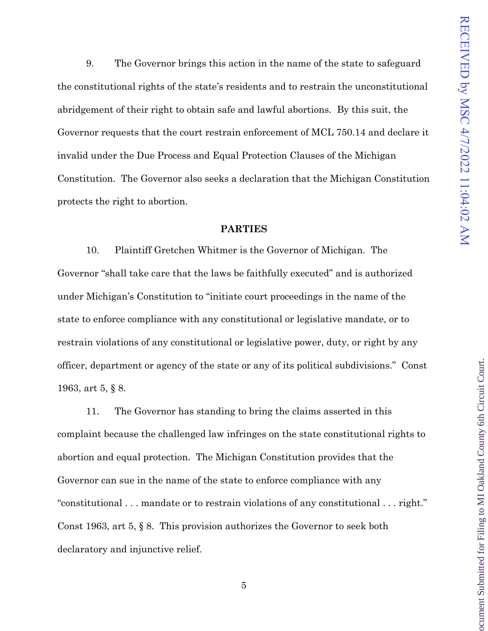ocument Submitted for Filing to MI Oakland County 6th Circuit Court

9. The Governor brings this action in the name of the state to safeguard the constitutional rights of the state's residents and to restrain the unconstitutional abridgement of their right to obtain safe and lawful abortions. By this suit, the Governor requests that the court restrain enforcement of MCL 750.14 and declare it invalid under the Due Process and Equal Protection Clauses of the Michigan Constitution. The Governor also seeks a declaration that the Michigan Constitution protects the right to abortion.

#### **PARTIES**

10. Plaintiff Gretchen Whitmer is the Governor of Michigan. The Governor "shall take care that the laws be faithfully executed" and is authorized under Michigan's Constitution to "initiate court proceedings in the name of the state to enforce compliance with any constitutional or legislative mandate, or to restrain violations of any constitutional or legislative power, duty, or right by any officer, department or agency of the state or any of its political subdivisions." Const 1963, art 5, § 8.

11. The Governor has standing to bring the claims asserted in this complaint because the challenged law infringes on the state constitutional rights to abortion and equal protection. The Michigan Constitution provides that the Governor can sue in the name of the state to enforce compliance with any "constitutional . . . mandate or to restrain violations of any constitutional . . . right." Const 1963, art 5, § 8. This provision authorizes the Governor to seek both declaratory and injunctive relief.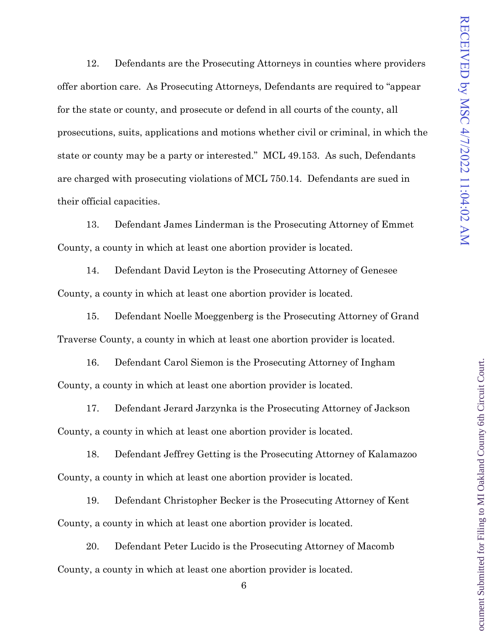12. Defendants are the Prosecuting Attorneys in counties where providers offer abortion care. As Prosecuting Attorneys, Defendants are required to "appear for the state or county, and prosecute or defend in all courts of the county, all prosecutions, suits, applications and motions whether civil or criminal, in which the state or county may be a party or interested." MCL 49.153. As such, Defendants are charged with prosecuting violations of MCL 750.14. Defendants are sued in their official capacities.

13. Defendant James Linderman is the Prosecuting Attorney of Emmet County, a county in which at least one abortion provider is located.

14. Defendant David Leyton is the Prosecuting Attorney of Genesee County, a county in which at least one abortion provider is located.

15. Defendant Noelle Moeggenberg is the Prosecuting Attorney of Grand Traverse County, a county in which at least one abortion provider is located.

16. Defendant Carol Siemon is the Prosecuting Attorney of Ingham County, a county in which at least one abortion provider is located.

17. Defendant Jerard Jarzynka is the Prosecuting Attorney of Jackson County, a county in which at least one abortion provider is located.

18. Defendant Jeffrey Getting is the Prosecuting Attorney of Kalamazoo County, a county in which at least one abortion provider is located.

19. Defendant Christopher Becker is the Prosecuting Attorney of Kent County, a county in which at least one abortion provider is located.

20. Defendant Peter Lucido is the Prosecuting Attorney of Macomb County, a county in which at least one abortion provider is located.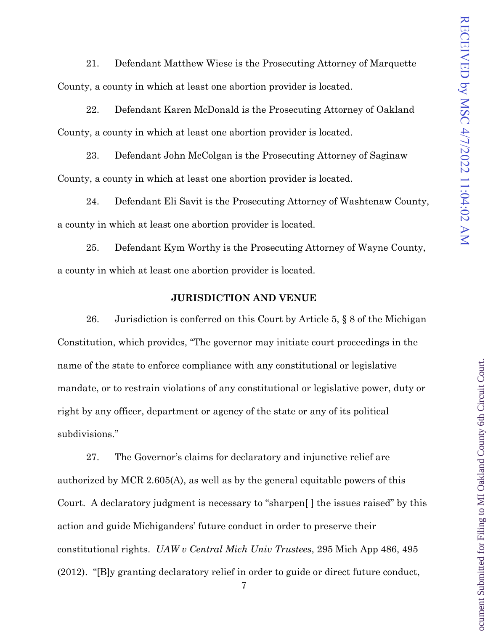ocument Submitted for Filing to MI Oakland County 6th Circuit Court

21. Defendant Matthew Wiese is the Prosecuting Attorney of Marquette County, a county in which at least one abortion provider is located.

22. Defendant Karen McDonald is the Prosecuting Attorney of Oakland County, a county in which at least one abortion provider is located.

23. Defendant John McColgan is the Prosecuting Attorney of Saginaw County, a county in which at least one abortion provider is located.

24. Defendant Eli Savit is the Prosecuting Attorney of Washtenaw County, a county in which at least one abortion provider is located.

25. Defendant Kym Worthy is the Prosecuting Attorney of Wayne County, a county in which at least one abortion provider is located.

#### **JURISDICTION AND VENUE**

26. Jurisdiction is conferred on this Court by Article 5, § 8 of the Michigan Constitution, which provides, "The governor may initiate court proceedings in the name of the state to enforce compliance with any constitutional or legislative mandate, or to restrain violations of any constitutional or legislative power, duty or right by any officer, department or agency of the state or any of its political subdivisions."

27. The Governor's claims for declaratory and injunctive relief are authorized by MCR 2.605(A), as well as by the general equitable powers of this Court. A declaratory judgment is necessary to "sharpen[ ] the issues raised" by this action and guide Michiganders' future conduct in order to preserve their constitutional rights. *UAW v Central Mich Univ Trustees*, 295 Mich App 486, 495 (2012). "[B]y granting declaratory relief in order to guide or direct future conduct,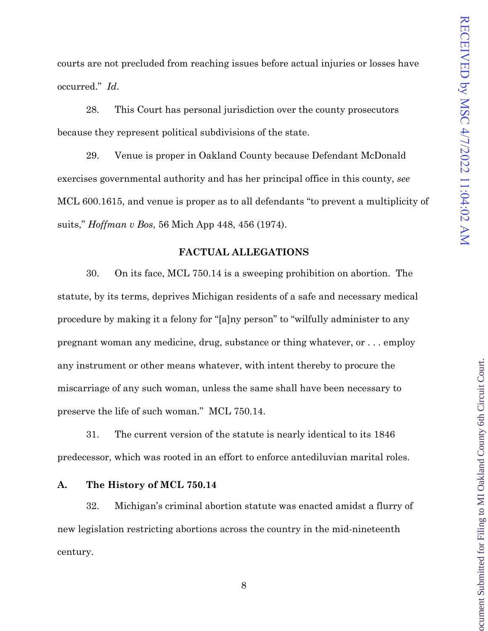ocument Submitted for Filing to MI Oakland County 6th Circuit Court

courts are not precluded from reaching issues before actual injuries or losses have occurred." *Id*.

28. This Court has personal jurisdiction over the county prosecutors because they represent political subdivisions of the state.

29. Venue is proper in Oakland County because Defendant McDonald exercises governmental authority and has her principal office in this county, *see* MCL 600.1615, and venue is proper as to all defendants "to prevent a multiplicity of suits," *Hoffman v Bos*, 56 Mich App 448, 456 (1974).

#### **FACTUAL ALLEGATIONS**

30. On its face, MCL 750.14 is a sweeping prohibition on abortion. The statute, by its terms, deprives Michigan residents of a safe and necessary medical procedure by making it a felony for "[a]ny person" to "wilfully administer to any pregnant woman any medicine, drug, substance or thing whatever, or . . . employ any instrument or other means whatever, with intent thereby to procure the miscarriage of any such woman, unless the same shall have been necessary to preserve the life of such woman." MCL 750.14.

31. The current version of the statute is nearly identical to its 1846 predecessor, which was rooted in an effort to enforce antediluvian marital roles.

#### **A. The History of MCL 750.14**

32. Michigan's criminal abortion statute was enacted amidst a flurry of new legislation restricting abortions across the country in the mid-nineteenth century.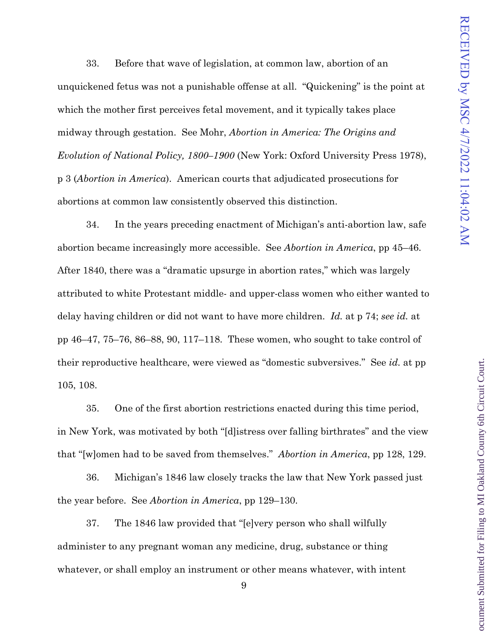ocument Submitted for Filing to MI Oakland County 6th Circuit Court

33. Before that wave of legislation, at common law, abortion of an unquickened fetus was not a punishable offense at all. "Quickening" is the point at which the mother first perceives fetal movement, and it typically takes place midway through gestation. See Mohr, *Abortion in America: The Origins and Evolution of National Policy, 1800–1900* (New York: Oxford University Press 1978), p 3 (*Abortion in America*). American courts that adjudicated prosecutions for abortions at common law consistently observed this distinction.

34. In the years preceding enactment of Michigan's anti-abortion law, safe abortion became increasingly more accessible. See *Abortion in America*, pp 45–46. After 1840, there was a "dramatic upsurge in abortion rates," which was largely attributed to white Protestant middle- and upper-class women who either wanted to delay having children or did not want to have more children. *Id.* at p 74; *see id.* at pp 46–47, 75–76, 86–88, 90, 117–118. These women, who sought to take control of their reproductive healthcare, were viewed as "domestic subversives." See *id.* at pp 105, 108.

35. One of the first abortion restrictions enacted during this time period, in New York, was motivated by both "[d]istress over falling birthrates" and the view that "[w]omen had to be saved from themselves." *Abortion in America*, pp 128, 129.

36. Michigan's 1846 law closely tracks the law that New York passed just the year before. See *Abortion in America*, pp 129–130.

37. The 1846 law provided that "[e]very person who shall wilfully administer to any pregnant woman any medicine, drug, substance or thing whatever, or shall employ an instrument or other means whatever, with intent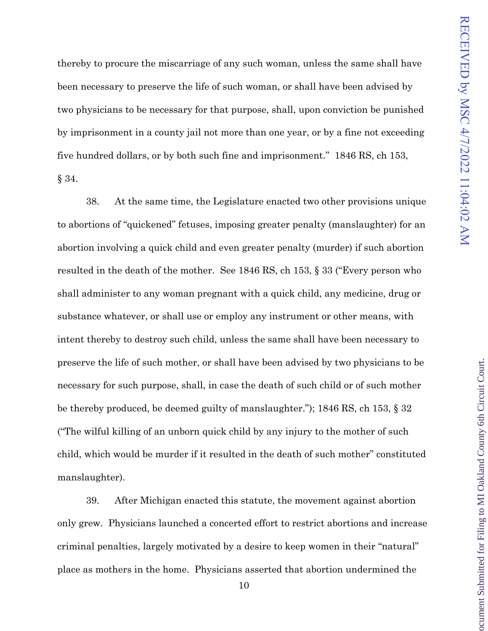ocument Submitted for Filing to MI Oakland County 6th Circuit Court

thereby to procure the miscarriage of any such woman, unless the same shall have been necessary to preserve the life of such woman, or shall have been advised by two physicians to be necessary for that purpose, shall, upon conviction be punished by imprisonment in a county jail not more than one year, or by a fine not exceeding five hundred dollars, or by both such fine and imprisonment." 1846 RS, ch 153, § 34.

38. At the same time, the Legislature enacted two other provisions unique to abortions of "quickened" fetuses, imposing greater penalty (manslaughter) for an abortion involving a quick child and even greater penalty (murder) if such abortion resulted in the death of the mother. See 1846 RS, ch 153, § 33 ("Every person who shall administer to any woman pregnant with a quick child, any medicine, drug or substance whatever, or shall use or employ any instrument or other means, with intent thereby to destroy such child, unless the same shall have been necessary to preserve the life of such mother, or shall have been advised by two physicians to be necessary for such purpose, shall, in case the death of such child or of such mother be thereby produced, be deemed guilty of manslaughter."); 1846 RS, ch 153, § 32 ("The wilful killing of an unborn quick child by any injury to the mother of such child, which would be murder if it resulted in the death of such mother" constituted manslaughter).

39. After Michigan enacted this statute, the movement against abortion only grew. Physicians launched a concerted effort to restrict abortions and increase criminal penalties, largely motivated by a desire to keep women in their "natural" place as mothers in the home. Physicians asserted that abortion undermined the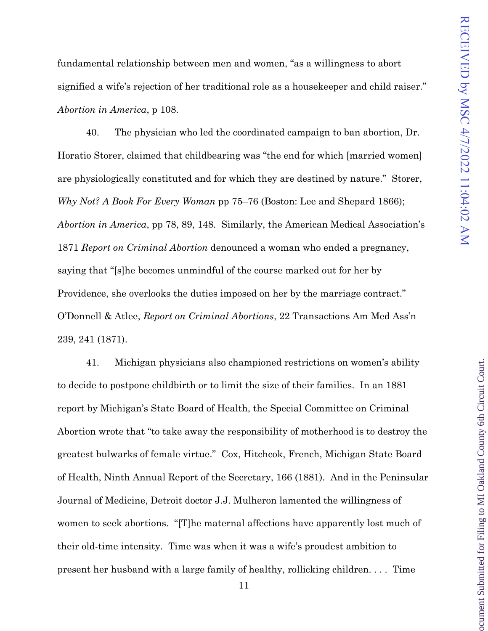ocument Submitted for Filing to MI Oakland County 6th Circuit Court

fundamental relationship between men and women, "as a willingness to abort signified a wife's rejection of her traditional role as a housekeeper and child raiser." *Abortion in America*, p 108.

40. The physician who led the coordinated campaign to ban abortion, Dr. Horatio Storer, claimed that childbearing was "the end for which [married women] are physiologically constituted and for which they are destined by nature." Storer, *Why Not? A Book For Every Woman* pp 75–76 (Boston: Lee and Shepard 1866); *Abortion in America*, pp 78, 89, 148. Similarly, the American Medical Association's 1871 *Report on Criminal Abortion* denounced a woman who ended a pregnancy, saying that "[s]he becomes unmindful of the course marked out for her by Providence, she overlooks the duties imposed on her by the marriage contract." O'Donnell & Atlee, *Report on Criminal Abortions*, 22 Transactions Am Med Ass'n 239, 241 (1871).

41. Michigan physicians also championed restrictions on women's ability to decide to postpone childbirth or to limit the size of their families. In an 1881 report by Michigan's State Board of Health, the Special Committee on Criminal Abortion wrote that "to take away the responsibility of motherhood is to destroy the greatest bulwarks of female virtue." Cox, Hitchcok, French, Michigan State Board of Health, Ninth Annual Report of the Secretary, 166 (1881). And in the Peninsular Journal of Medicine, Detroit doctor J.J. Mulheron lamented the willingness of women to seek abortions. "[T]he maternal affections have apparently lost much of their old-time intensity. Time was when it was a wife's proudest ambition to present her husband with a large family of healthy, rollicking children. . . . Time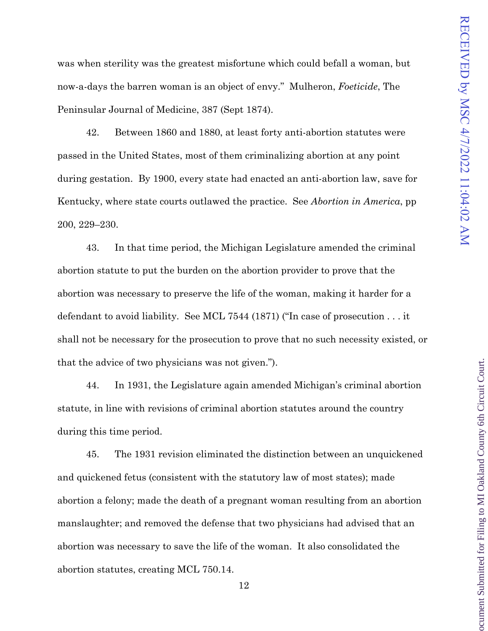ocument Submitted for Filing to MI Oakland County 6th Circuit Court

was when sterility was the greatest misfortune which could befall a woman, but now-a-days the barren woman is an object of envy." Mulheron, *Foeticide*, The Peninsular Journal of Medicine, 387 (Sept 1874).

42. Between 1860 and 1880, at least forty anti-abortion statutes were passed in the United States, most of them criminalizing abortion at any point during gestation. By 1900, every state had enacted an anti-abortion law, save for Kentucky, where state courts outlawed the practice. See *Abortion in America*, pp 200, 229–230.

43. In that time period, the Michigan Legislature amended the criminal abortion statute to put the burden on the abortion provider to prove that the abortion was necessary to preserve the life of the woman, making it harder for a defendant to avoid liability. See MCL 7544 (1871) ("In case of prosecution . . . it shall not be necessary for the prosecution to prove that no such necessity existed, or that the advice of two physicians was not given.").

44. In 1931, the Legislature again amended Michigan's criminal abortion statute, in line with revisions of criminal abortion statutes around the country during this time period.

45. The 1931 revision eliminated the distinction between an unquickened and quickened fetus (consistent with the statutory law of most states); made abortion a felony; made the death of a pregnant woman resulting from an abortion manslaughter; and removed the defense that two physicians had advised that an abortion was necessary to save the life of the woman. It also consolidated the abortion statutes, creating MCL 750.14.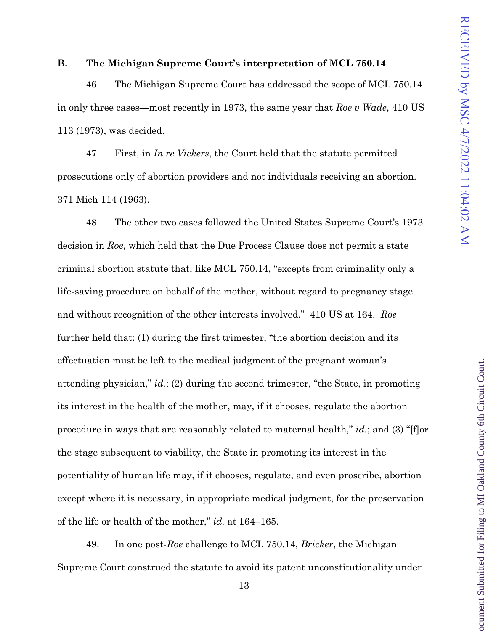#### **B. The Michigan Supreme Court's interpretation of MCL 750.14**

46. The Michigan Supreme Court has addressed the scope of MCL 750.14 in only three cases—most recently in 1973, the same year that *Roe v Wade*, 410 US 113 (1973), was decided.

47. First, in *In re Vickers*, the Court held that the statute permitted prosecutions only of abortion providers and not individuals receiving an abortion. 371 Mich 114 (1963).

48. The other two cases followed the United States Supreme Court's 1973 decision in *Roe*, which held that the Due Process Clause does not permit a state criminal abortion statute that, like MCL 750.14, "excepts from criminality only a life-saving procedure on behalf of the mother, without regard to pregnancy stage and without recognition of the other interests involved." 410 US at 164. *Roe* further held that: (1) during the first trimester, "the abortion decision and its effectuation must be left to the medical judgment of the pregnant woman's attending physician," *id.*; (2) during the second trimester, "the State, in promoting its interest in the health of the mother, may, if it chooses, regulate the abortion procedure in ways that are reasonably related to maternal health," *id.*; and (3) "[f]or the stage subsequent to viability, the State in promoting its interest in the potentiality of human life may, if it chooses, regulate, and even proscribe, abortion except where it is necessary, in appropriate medical judgment, for the preservation of the life or health of the mother," *id.* at 164–165.

49. In one post-*Roe* challenge to MCL 750.14, *Bricker*, the Michigan Supreme Court construed the statute to avoid its patent unconstitutionality under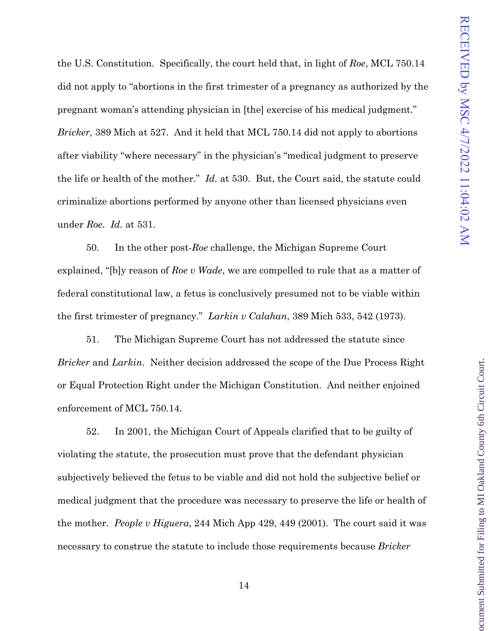ocument Submitted for Filing to MI Oakland County 6th Circuit Court

the U.S. Constitution. Specifically, the court held that, in light of *Roe*, MCL 750.14 did not apply to "abortions in the first trimester of a pregnancy as authorized by the pregnant woman's attending physician in [the] exercise of his medical judgment." *Bricker*, 389 Mich at 527. And it held that MCL 750.14 did not apply to abortions after viability "where necessary" in the physician's "medical judgment to preserve the life or health of the mother." *Id.* at 530. But, the Court said, the statute could criminalize abortions performed by anyone other than licensed physicians even under *Roe*. *Id.* at 531.

50. In the other post-*Roe* challenge, the Michigan Supreme Court explained, "[b]y reason of *Roe v Wade*, we are compelled to rule that as a matter of federal constitutional law, a fetus is conclusively presumed not to be viable within the first trimester of pregnancy." *Larkin v Calahan*, 389 Mich 533, 542 (1973).

51. The Michigan Supreme Court has not addressed the statute since *Bricker* and *Larkin*. Neither decision addressed the scope of the Due Process Right or Equal Protection Right under the Michigan Constitution. And neither enjoined enforcement of MCL 750.14.

52. In 2001, the Michigan Court of Appeals clarified that to be guilty of violating the statute, the prosecution must prove that the defendant physician subjectively believed the fetus to be viable and did not hold the subjective belief or medical judgment that the procedure was necessary to preserve the life or health of the mother. *People v Higuera*, 244 Mich App 429, 449 (2001). The court said it was necessary to construe the statute to include those requirements because *Bricker*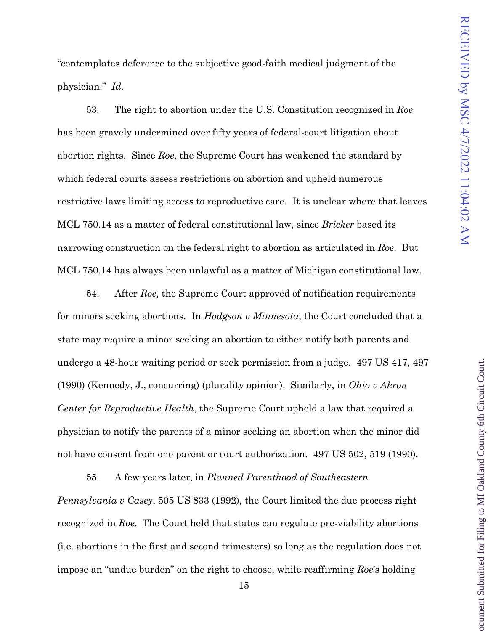"contemplates deference to the subjective good-faith medical judgment of the physician." *Id*.

53. The right to abortion under the U.S. Constitution recognized in *Roe*  has been gravely undermined over fifty years of federal-court litigation about abortion rights. Since *Roe*, the Supreme Court has weakened the standard by which federal courts assess restrictions on abortion and upheld numerous restrictive laws limiting access to reproductive care. It is unclear where that leaves MCL 750.14 as a matter of federal constitutional law, since *Bricker* based its narrowing construction on the federal right to abortion as articulated in *Roe*. But MCL 750.14 has always been unlawful as a matter of Michigan constitutional law.

54. After *Roe*, the Supreme Court approved of notification requirements for minors seeking abortions. In *Hodgson v Minnesota*, the Court concluded that a state may require a minor seeking an abortion to either notify both parents and undergo a 48-hour waiting period or seek permission from a judge. 497 US 417, 497 (1990) (Kennedy, J., concurring) (plurality opinion). Similarly, in *Ohio v Akron Center for Reproductive Health*, the Supreme Court upheld a law that required a physician to notify the parents of a minor seeking an abortion when the minor did not have consent from one parent or court authorization. 497 US 502, 519 (1990).

55. A few years later, in *Planned Parenthood of Southeastern Pennsylvania v Casey*, 505 US 833 (1992), the Court limited the due process right recognized in *Roe*. The Court held that states can regulate pre-viability abortions (i.e. abortions in the first and second trimesters) so long as the regulation does not impose an "undue burden" on the right to choose, while reaffirming *Roe*'s holding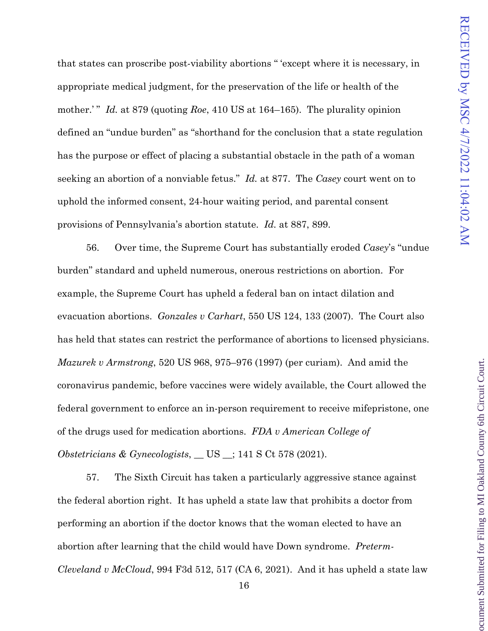ocument Submitted for Filing to MI Oakland County 6th Circuit Court

that states can proscribe post-viability abortions " 'except where it is necessary, in appropriate medical judgment, for the preservation of the life or health of the mother.'" *Id.* at 879 (quoting *Roe*, 410 US at 164–165). The plurality opinion defined an "undue burden" as "shorthand for the conclusion that a state regulation has the purpose or effect of placing a substantial obstacle in the path of a woman seeking an abortion of a nonviable fetus." *Id.* at 877. The *Casey* court went on to uphold the informed consent, 24-hour waiting period, and parental consent provisions of Pennsylvania's abortion statute. *Id.* at 887, 899.

56. Over time, the Supreme Court has substantially eroded *Casey*'s "undue burden" standard and upheld numerous, onerous restrictions on abortion. For example, the Supreme Court has upheld a federal ban on intact dilation and evacuation abortions. *Gonzales v Carhart*, 550 US 124, 133 (2007). The Court also has held that states can restrict the performance of abortions to licensed physicians. *Mazurek v Armstrong*, 520 US 968, 975–976 (1997) (per curiam). And amid the coronavirus pandemic, before vaccines were widely available, the Court allowed the federal government to enforce an in-person requirement to receive mifepristone, one of the drugs used for medication abortions. *FDA v American College of Obstetricians & Gynecologists*, \_\_ US \_\_; 141 S Ct 578 (2021).

57. The Sixth Circuit has taken a particularly aggressive stance against the federal abortion right. It has upheld a state law that prohibits a doctor from performing an abortion if the doctor knows that the woman elected to have an abortion after learning that the child would have Down syndrome. *Preterm-Cleveland v McCloud*, 994 F3d 512, 517 (CA 6, 2021). And it has upheld a state law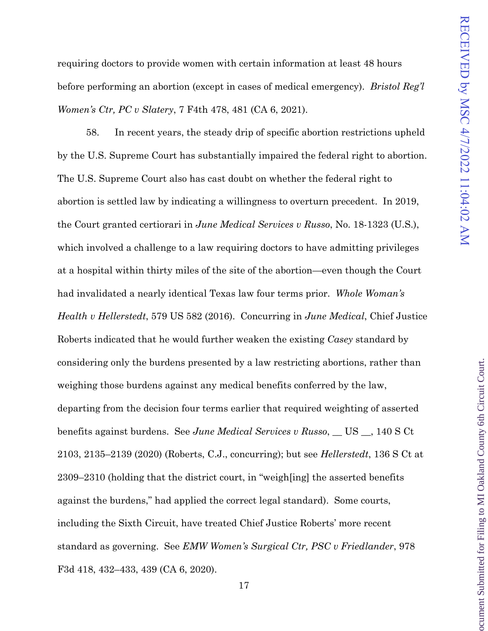ocument Submitted for Filing to MI Oakland County 6th Circuit Court

requiring doctors to provide women with certain information at least 48 hours before performing an abortion (except in cases of medical emergency). *Bristol Reg'l Women's Ctr, PC v Slatery*, 7 F4th 478, 481 (CA 6, 2021).

58. In recent years, the steady drip of specific abortion restrictions upheld by the U.S. Supreme Court has substantially impaired the federal right to abortion. The U.S. Supreme Court also has cast doubt on whether the federal right to abortion is settled law by indicating a willingness to overturn precedent. In 2019, the Court granted certiorari in *June Medical Services v Russo*, No. 18-1323 (U.S.), which involved a challenge to a law requiring doctors to have admitting privileges at a hospital within thirty miles of the site of the abortion—even though the Court had invalidated a nearly identical Texas law four terms prior. *Whole Woman's Health v Hellerstedt*, 579 US 582 (2016). Concurring in *June Medical*, Chief Justice Roberts indicated that he would further weaken the existing *Casey* standard by considering only the burdens presented by a law restricting abortions, rather than weighing those burdens against any medical benefits conferred by the law, departing from the decision four terms earlier that required weighting of asserted benefits against burdens. See *June Medical Services v Russo*, \_\_ US \_\_, 140 S Ct 2103, 2135–2139 (2020) (Roberts, C.J., concurring); but see *Hellerstedt*, 136 S Ct at 2309–2310 (holding that the district court, in "weigh[ing] the asserted benefits against the burdens," had applied the correct legal standard). Some courts, including the Sixth Circuit, have treated Chief Justice Roberts' more recent standard as governing. See *EMW Women's Surgical Ctr, PSC v Friedlander*, 978 F3d 418, 432–433, 439 (CA 6, 2020).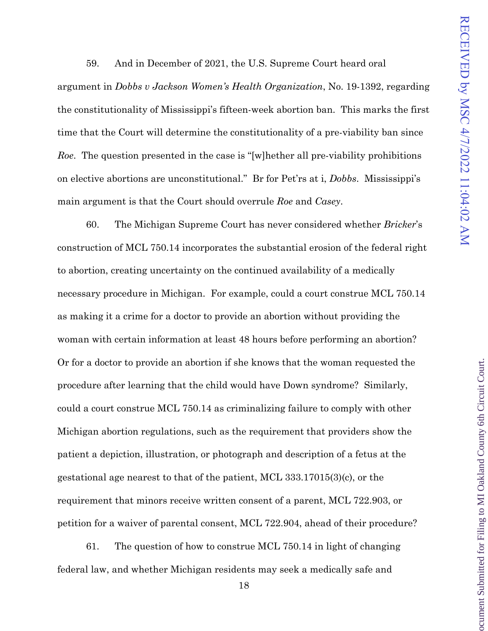59. And in December of 2021, the U.S. Supreme Court heard oral

argument in *Dobbs v Jackson Women's Health Organization*, No. 19-1392, regarding the constitutionality of Mississippi's fifteen-week abortion ban. This marks the first time that the Court will determine the constitutionality of a pre-viability ban since *Roe*. The question presented in the case is "[w]hether all pre-viability prohibitions on elective abortions are unconstitutional." Br for Pet'rs at i, *Dobbs*. Mississippi's main argument is that the Court should overrule *Roe* and *Casey*.

60. The Michigan Supreme Court has never considered whether *Bricker*'s construction of MCL 750.14 incorporates the substantial erosion of the federal right to abortion, creating uncertainty on the continued availability of a medically necessary procedure in Michigan. For example, could a court construe MCL 750.14 as making it a crime for a doctor to provide an abortion without providing the woman with certain information at least 48 hours before performing an abortion? Or for a doctor to provide an abortion if she knows that the woman requested the procedure after learning that the child would have Down syndrome? Similarly, could a court construe MCL 750.14 as criminalizing failure to comply with other Michigan abortion regulations, such as the requirement that providers show the patient a depiction, illustration, or photograph and description of a fetus at the gestational age nearest to that of the patient, MCL 333.17015(3)(c), or the requirement that minors receive written consent of a parent, MCL 722.903, or petition for a waiver of parental consent, MCL 722.904, ahead of their procedure?

61. The question of how to construe MCL 750.14 in light of changing federal law, and whether Michigan residents may seek a medically safe and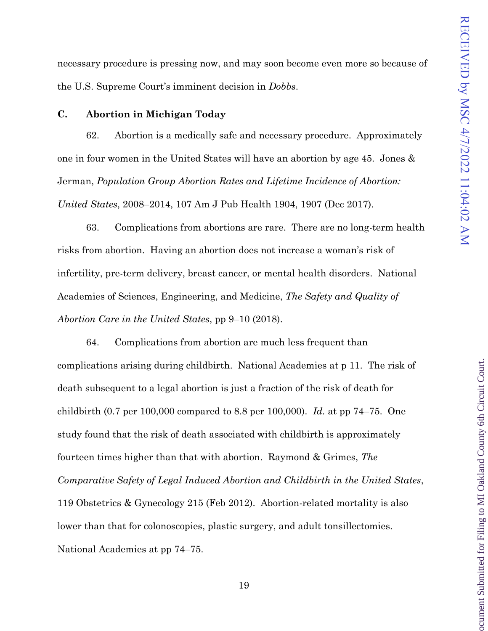necessary procedure is pressing now, and may soon become even more so because of the U.S. Supreme Court's imminent decision in *Dobbs*.

#### **C. Abortion in Michigan Today**

62. Abortion is a medically safe and necessary procedure. Approximately one in four women in the United States will have an abortion by age 45. Jones & Jerman, *Population Group Abortion Rates and Lifetime Incidence of Abortion: United States*, 2008–2014, 107 Am J Pub Health 1904, 1907 (Dec 2017).

63. Complications from abortions are rare. There are no long-term health risks from abortion. Having an abortion does not increase a woman's risk of infertility, pre-term delivery, breast cancer, or mental health disorders. National Academies of Sciences, Engineering, and Medicine, *The Safety and Quality of Abortion Care in the United States*, pp 9–10 (2018).

64. Complications from abortion are much less frequent than complications arising during childbirth. National Academies at p 11. The risk of death subsequent to a legal abortion is just a fraction of the risk of death for childbirth (0.7 per 100,000 compared to 8.8 per 100,000). *Id.* at pp 74–75. One study found that the risk of death associated with childbirth is approximately fourteen times higher than that with abortion. Raymond & Grimes, *The Comparative Safety of Legal Induced Abortion and Childbirth in the United States*, 119 Obstetrics & Gynecology 215 (Feb 2012). Abortion-related mortality is also lower than that for colonoscopies, plastic surgery, and adult tonsillectomies. National Academies at pp 74–75.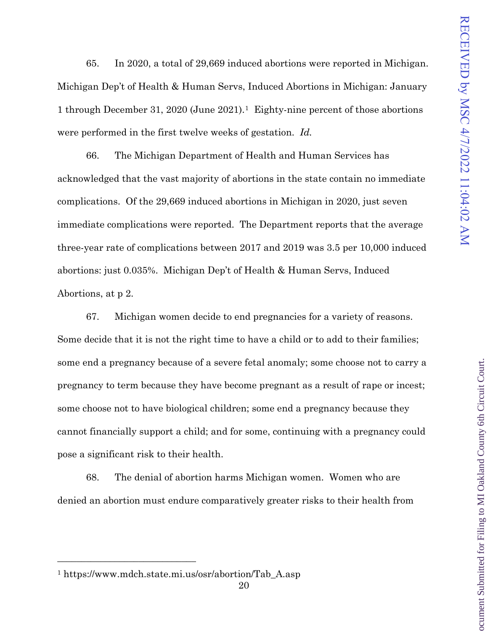65. In 2020, a total of 29,669 induced abortions were reported in Michigan. Michigan Dep't of Health & Human Servs, Induced Abortions in Michigan: January 1 through December 31, 2020 (June 2021).[1](#page-20-0) Eighty-nine percent of those abortions were performed in the first twelve weeks of gestation. *Id.*

66. The Michigan Department of Health and Human Services has acknowledged that the vast majority of abortions in the state contain no immediate complications. Of the 29,669 induced abortions in Michigan in 2020, just seven immediate complications were reported. The Department reports that the average three-year rate of complications between 2017 and 2019 was 3.5 per 10,000 induced abortions: just 0.035%. Michigan Dep't of Health & Human Servs, Induced Abortions, at p 2.

67. Michigan women decide to end pregnancies for a variety of reasons. Some decide that it is not the right time to have a child or to add to their families; some end a pregnancy because of a severe fetal anomaly; some choose not to carry a pregnancy to term because they have become pregnant as a result of rape or incest; some choose not to have biological children; some end a pregnancy because they cannot financially support a child; and for some, continuing with a pregnancy could pose a significant risk to their health.

68. The denial of abortion harms Michigan women. Women who are denied an abortion must endure comparatively greater risks to their health from

<span id="page-20-0"></span>\_\_\_\_\_\_\_\_\_\_\_\_\_\_\_\_\_\_\_\_\_\_\_\_\_\_\_\_\_

<sup>1</sup> https://www.mdch.state.mi.us/osr/abortion/Tab\_A.asp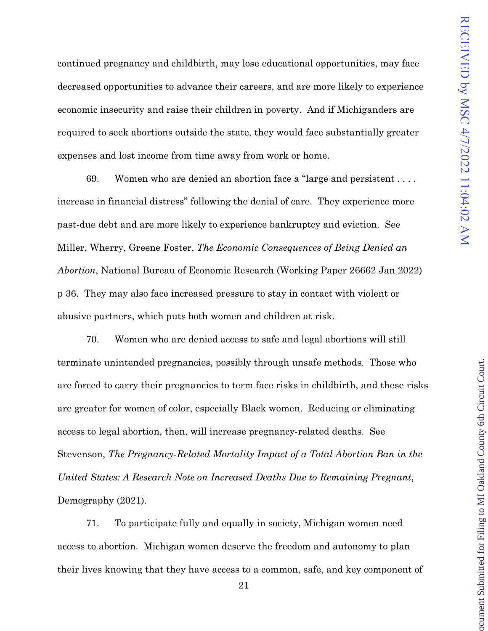ocument Submitted for Filing to MI Oakland County 6th Circuit Court

continued pregnancy and childbirth, may lose educational opportunities, may face decreased opportunities to advance their careers, and are more likely to experience economic insecurity and raise their children in poverty. And if Michiganders are required to seek abortions outside the state, they would face substantially greater expenses and lost income from time away from work or home.

69. Women who are denied an abortion face a "large and persistent . . . . increase in financial distress" following the denial of care. They experience more past-due debt and are more likely to experience bankruptcy and eviction. See Miller, Wherry, Greene Foster, *The Economic Consequences of Being Denied an Abortion*, National Bureau of Economic Research (Working Paper 26662 Jan 2022) p 36. They may also face increased pressure to stay in contact with violent or abusive partners, which puts both women and children at risk.

70. Women who are denied access to safe and legal abortions will still terminate unintended pregnancies, possibly through unsafe methods. Those who are forced to carry their pregnancies to term face risks in childbirth, and these risks are greater for women of color, especially Black women. Reducing or eliminating access to legal abortion, then, will increase pregnancy-related deaths. See Stevenson, *The Pregnancy-Related Mortality Impact of a Total Abortion Ban in the United States: A Research Note on Increased Deaths Due to Remaining Pregnant*, Demography (2021).

71. To participate fully and equally in society, Michigan women need access to abortion. Michigan women deserve the freedom and autonomy to plan their lives knowing that they have access to a common, safe, and key component of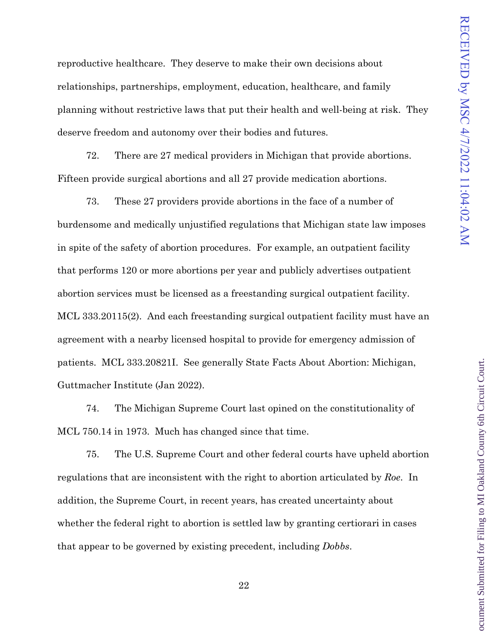reproductive healthcare. They deserve to make their own decisions about relationships, partnerships, employment, education, healthcare, and family planning without restrictive laws that put their health and well-being at risk. They deserve freedom and autonomy over their bodies and futures.

72. There are 27 medical providers in Michigan that provide abortions. Fifteen provide surgical abortions and all 27 provide medication abortions.

73. These 27 providers provide abortions in the face of a number of burdensome and medically unjustified regulations that Michigan state law imposes in spite of the safety of abortion procedures. For example, an outpatient facility that performs 120 or more abortions per year and publicly advertises outpatient abortion services must be licensed as a freestanding surgical outpatient facility. MCL 333.20115(2). And each freestanding surgical outpatient facility must have an agreement with a nearby licensed hospital to provide for emergency admission of patients. MCL 333.20821I. See generally State Facts About Abortion: Michigan, Guttmacher Institute (Jan 2022).

74. The Michigan Supreme Court last opined on the constitutionality of MCL 750.14 in 1973. Much has changed since that time.

75. The U.S. Supreme Court and other federal courts have upheld abortion regulations that are inconsistent with the right to abortion articulated by *Roe*. In addition, the Supreme Court, in recent years, has created uncertainty about whether the federal right to abortion is settled law by granting certiorari in cases that appear to be governed by existing precedent, including *Dobbs*.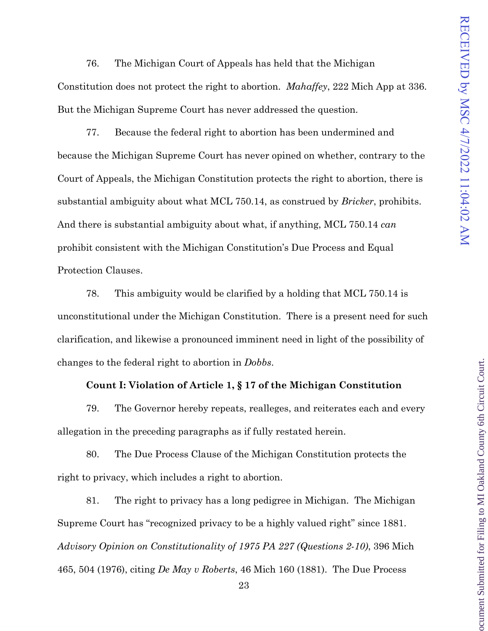76. The Michigan Court of Appeals has held that the Michigan

Constitution does not protect the right to abortion. *Mahaffey*, 222 Mich App at 336. But the Michigan Supreme Court has never addressed the question.

77. Because the federal right to abortion has been undermined and because the Michigan Supreme Court has never opined on whether, contrary to the Court of Appeals, the Michigan Constitution protects the right to abortion, there is substantial ambiguity about what MCL 750.14, as construed by *Bricker*, prohibits. And there is substantial ambiguity about what, if anything, MCL 750.14 *can* prohibit consistent with the Michigan Constitution's Due Process and Equal Protection Clauses.

78. This ambiguity would be clarified by a holding that MCL 750.14 is unconstitutional under the Michigan Constitution. There is a present need for such clarification, and likewise a pronounced imminent need in light of the possibility of changes to the federal right to abortion in *Dobbs*.

#### **Count I: Violation of Article 1, § 17 of the Michigan Constitution**

79. The Governor hereby repeats, realleges, and reiterates each and every allegation in the preceding paragraphs as if fully restated herein.

80. The Due Process Clause of the Michigan Constitution protects the right to privacy, which includes a right to abortion.

81. The right to privacy has a long pedigree in Michigan. The Michigan Supreme Court has "recognized privacy to be a highly valued right" since 1881. *Advisory Opinion on Constitutionality of 1975 PA 227 (Questions 2-10)*, 396 Mich 465, 504 (1976), citing *De May v Roberts*, 46 Mich 160 (1881). The Due Process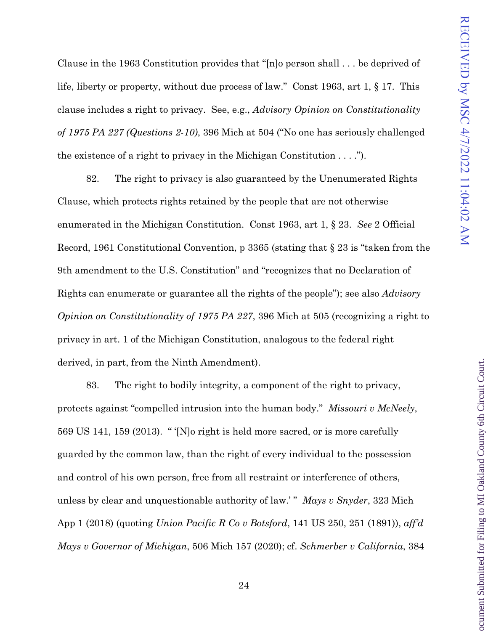ocument Submitted for Filing to MI Oakland County 6th Circuit Court

Clause in the 1963 Constitution provides that "[n]o person shall . . . be deprived of life, liberty or property, without due process of law." Const 1963, art 1, § 17. This clause includes a right to privacy. See, e.g., *Advisory Opinion on Constitutionality of 1975 PA 227 (Questions 2-10)*, 396 Mich at 504 ("No one has seriously challenged the existence of a right to privacy in the Michigan Constitution  $\dots$ ").

82. The right to privacy is also guaranteed by the Unenumerated Rights Clause, which protects rights retained by the people that are not otherwise enumerated in the Michigan Constitution. Const 1963, art 1, § 23. *See* 2 Official Record, 1961 Constitutional Convention, p 3365 (stating that § 23 is "taken from the 9th amendment to the U.S. Constitution" and "recognizes that no Declaration of Rights can enumerate or guarantee all the rights of the people"); see also *Advisory Opinion on Constitutionality of 1975 PA 227*, 396 Mich at 505 (recognizing a right to privacy in art. 1 of the Michigan Constitution, analogous to the federal right derived, in part, from the Ninth Amendment).

83. The right to bodily integrity, a component of the right to privacy, protects against "compelled intrusion into the human body." *Missouri v McNeely*, 569 US 141, 159 (2013). " '[N]o right is held more sacred, or is more carefully guarded by the common law, than the right of every individual to the possession and control of his own person, free from all restraint or interference of others, unless by clear and unquestionable authority of law.' " *Mays v Snyder*, 323 Mich App 1 (2018) (quoting *Union Pacific R Co v Botsford*, 141 US 250, 251 (1891)), *aff'd Mays v Governor of Michigan*, 506 Mich 157 (2020); cf. *Schmerber v California*, 384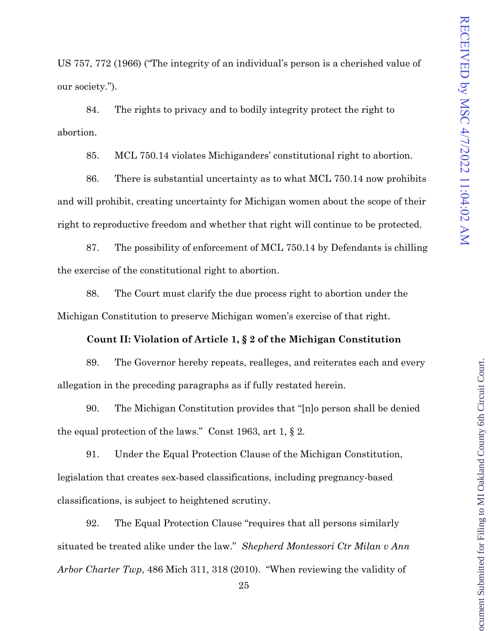US 757, 772 (1966) ("The integrity of an individual's person is a cherished value of our society.").

84. The rights to privacy and to bodily integrity protect the right to abortion.

85. MCL 750.14 violates Michiganders' constitutional right to abortion.

86. There is substantial uncertainty as to what MCL 750.14 now prohibits and will prohibit, creating uncertainty for Michigan women about the scope of their right to reproductive freedom and whether that right will continue to be protected.

87. The possibility of enforcement of MCL 750.14 by Defendants is chilling the exercise of the constitutional right to abortion.

88. The Court must clarify the due process right to abortion under the Michigan Constitution to preserve Michigan women's exercise of that right.

#### **Count II: Violation of Article 1, § 2 of the Michigan Constitution**

89. The Governor hereby repeats, realleges, and reiterates each and every allegation in the preceding paragraphs as if fully restated herein.

90. The Michigan Constitution provides that "[n]o person shall be denied the equal protection of the laws." Const 1963, art 1, § 2.

91. Under the Equal Protection Clause of the Michigan Constitution, legislation that creates sex-based classifications, including pregnancy-based classifications, is subject to heightened scrutiny.

92. The Equal Protection Clause "requires that all persons similarly situated be treated alike under the law." *Shepherd Montessori Ctr Milan v Ann Arbor Charter Twp*, 486 Mich 311, 318 (2010). "When reviewing the validity of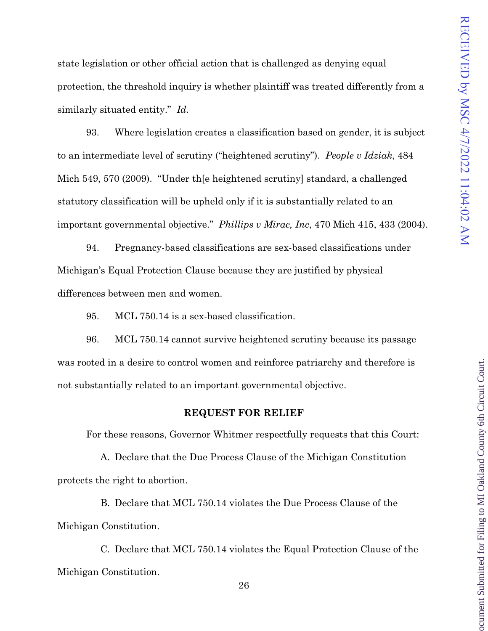ocument Submitted for Filing to MI Oakland County 6th Circuit Court

state legislation or other official action that is challenged as denying equal protection, the threshold inquiry is whether plaintiff was treated differently from a similarly situated entity." *Id.*

93. Where legislation creates a classification based on gender, it is subject to an intermediate level of scrutiny ("heightened scrutiny"). *People v Idziak*, 484 Mich 549, 570 (2009). "Under th[e heightened scrutiny] standard, a challenged statutory classification will be upheld only if it is substantially related to an important governmental objective." *Phillips v Mirac, Inc*, 470 Mich 415, 433 (2004).

94. Pregnancy-based classifications are sex-based classifications under Michigan's Equal Protection Clause because they are justified by physical differences between men and women.

95. MCL 750.14 is a sex-based classification.

96. MCL 750.14 cannot survive heightened scrutiny because its passage was rooted in a desire to control women and reinforce patriarchy and therefore is not substantially related to an important governmental objective.

#### **REQUEST FOR RELIEF**

For these reasons, Governor Whitmer respectfully requests that this Court:

A. Declare that the Due Process Clause of the Michigan Constitution protects the right to abortion.

B. Declare that MCL 750.14 violates the Due Process Clause of the Michigan Constitution.

C. Declare that MCL 750.14 violates the Equal Protection Clause of the Michigan Constitution.